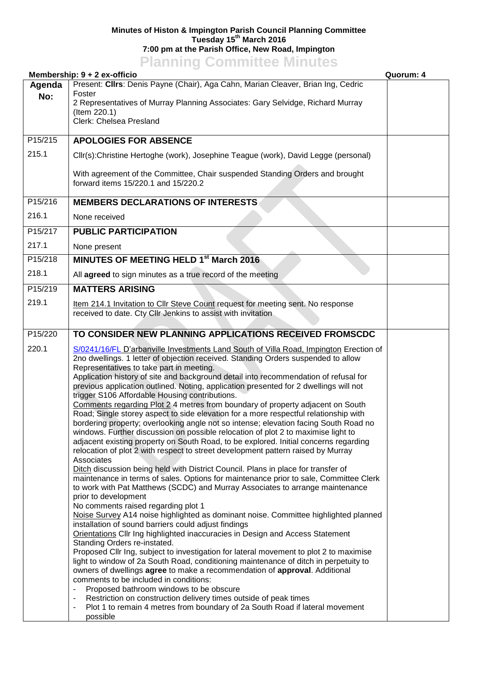## **Minutes of Histon & Impington Parish Council Planning Committee Tuesday 15th March 2016 7:00 pm at the Parish Office, New Road, Impington Planning Committee Minutes**

|         | Membership: 9 + 2 ex-officio                                                                                                                                                                                                                                                                                                                                                                                                                                                                                                                                                                                                                                                                                                                                                                                                                                                                                                                                                                                                                                                                                                                                                                                                                                                                                                                                                                                                                                                                                                                                                                                                                                                                                                                                                                                                                                                                                                                                                                                                                                                                                      | Quorum: 4 |
|---------|-------------------------------------------------------------------------------------------------------------------------------------------------------------------------------------------------------------------------------------------------------------------------------------------------------------------------------------------------------------------------------------------------------------------------------------------------------------------------------------------------------------------------------------------------------------------------------------------------------------------------------------------------------------------------------------------------------------------------------------------------------------------------------------------------------------------------------------------------------------------------------------------------------------------------------------------------------------------------------------------------------------------------------------------------------------------------------------------------------------------------------------------------------------------------------------------------------------------------------------------------------------------------------------------------------------------------------------------------------------------------------------------------------------------------------------------------------------------------------------------------------------------------------------------------------------------------------------------------------------------------------------------------------------------------------------------------------------------------------------------------------------------------------------------------------------------------------------------------------------------------------------------------------------------------------------------------------------------------------------------------------------------------------------------------------------------------------------------------------------------|-----------|
| Agenda  | Present: Clirs: Denis Payne (Chair), Aga Cahn, Marian Cleaver, Brian Ing, Cedric                                                                                                                                                                                                                                                                                                                                                                                                                                                                                                                                                                                                                                                                                                                                                                                                                                                                                                                                                                                                                                                                                                                                                                                                                                                                                                                                                                                                                                                                                                                                                                                                                                                                                                                                                                                                                                                                                                                                                                                                                                  |           |
| No:     | Foster<br>2 Representatives of Murray Planning Associates: Gary Selvidge, Richard Murray<br>(Item 220.1)<br>Clerk: Chelsea Presland                                                                                                                                                                                                                                                                                                                                                                                                                                                                                                                                                                                                                                                                                                                                                                                                                                                                                                                                                                                                                                                                                                                                                                                                                                                                                                                                                                                                                                                                                                                                                                                                                                                                                                                                                                                                                                                                                                                                                                               |           |
|         |                                                                                                                                                                                                                                                                                                                                                                                                                                                                                                                                                                                                                                                                                                                                                                                                                                                                                                                                                                                                                                                                                                                                                                                                                                                                                                                                                                                                                                                                                                                                                                                                                                                                                                                                                                                                                                                                                                                                                                                                                                                                                                                   |           |
| P15/215 | <b>APOLOGIES FOR ABSENCE</b>                                                                                                                                                                                                                                                                                                                                                                                                                                                                                                                                                                                                                                                                                                                                                                                                                                                                                                                                                                                                                                                                                                                                                                                                                                                                                                                                                                                                                                                                                                                                                                                                                                                                                                                                                                                                                                                                                                                                                                                                                                                                                      |           |
| 215.1   | Cllr(s):Christine Hertoghe (work), Josephine Teague (work), David Legge (personal)                                                                                                                                                                                                                                                                                                                                                                                                                                                                                                                                                                                                                                                                                                                                                                                                                                                                                                                                                                                                                                                                                                                                                                                                                                                                                                                                                                                                                                                                                                                                                                                                                                                                                                                                                                                                                                                                                                                                                                                                                                |           |
|         | With agreement of the Committee, Chair suspended Standing Orders and brought<br>forward items 15/220.1 and 15/220.2                                                                                                                                                                                                                                                                                                                                                                                                                                                                                                                                                                                                                                                                                                                                                                                                                                                                                                                                                                                                                                                                                                                                                                                                                                                                                                                                                                                                                                                                                                                                                                                                                                                                                                                                                                                                                                                                                                                                                                                               |           |
| P15/216 | <b>MEMBERS DECLARATIONS OF INTERESTS</b>                                                                                                                                                                                                                                                                                                                                                                                                                                                                                                                                                                                                                                                                                                                                                                                                                                                                                                                                                                                                                                                                                                                                                                                                                                                                                                                                                                                                                                                                                                                                                                                                                                                                                                                                                                                                                                                                                                                                                                                                                                                                          |           |
| 216.1   | None received                                                                                                                                                                                                                                                                                                                                                                                                                                                                                                                                                                                                                                                                                                                                                                                                                                                                                                                                                                                                                                                                                                                                                                                                                                                                                                                                                                                                                                                                                                                                                                                                                                                                                                                                                                                                                                                                                                                                                                                                                                                                                                     |           |
| P15/217 | <b>PUBLIC PARTICIPATION</b>                                                                                                                                                                                                                                                                                                                                                                                                                                                                                                                                                                                                                                                                                                                                                                                                                                                                                                                                                                                                                                                                                                                                                                                                                                                                                                                                                                                                                                                                                                                                                                                                                                                                                                                                                                                                                                                                                                                                                                                                                                                                                       |           |
| 217.1   | None present                                                                                                                                                                                                                                                                                                                                                                                                                                                                                                                                                                                                                                                                                                                                                                                                                                                                                                                                                                                                                                                                                                                                                                                                                                                                                                                                                                                                                                                                                                                                                                                                                                                                                                                                                                                                                                                                                                                                                                                                                                                                                                      |           |
| P15/218 | <b>MINUTES OF MEETING HELD 1st March 2016</b>                                                                                                                                                                                                                                                                                                                                                                                                                                                                                                                                                                                                                                                                                                                                                                                                                                                                                                                                                                                                                                                                                                                                                                                                                                                                                                                                                                                                                                                                                                                                                                                                                                                                                                                                                                                                                                                                                                                                                                                                                                                                     |           |
| 218.1   | All agreed to sign minutes as a true record of the meeting                                                                                                                                                                                                                                                                                                                                                                                                                                                                                                                                                                                                                                                                                                                                                                                                                                                                                                                                                                                                                                                                                                                                                                                                                                                                                                                                                                                                                                                                                                                                                                                                                                                                                                                                                                                                                                                                                                                                                                                                                                                        |           |
| P15/219 | <b>MATTERS ARISING</b>                                                                                                                                                                                                                                                                                                                                                                                                                                                                                                                                                                                                                                                                                                                                                                                                                                                                                                                                                                                                                                                                                                                                                                                                                                                                                                                                                                                                                                                                                                                                                                                                                                                                                                                                                                                                                                                                                                                                                                                                                                                                                            |           |
| 219.1   | Item 214.1 Invitation to Cllr Steve Count request for meeting sent. No response<br>received to date. Cty Cllr Jenkins to assist with invitation                                                                                                                                                                                                                                                                                                                                                                                                                                                                                                                                                                                                                                                                                                                                                                                                                                                                                                                                                                                                                                                                                                                                                                                                                                                                                                                                                                                                                                                                                                                                                                                                                                                                                                                                                                                                                                                                                                                                                                   |           |
| P15/220 | TO CONSIDER NEW PLANNING APPLICATIONS RECEIVED FROMSCDC                                                                                                                                                                                                                                                                                                                                                                                                                                                                                                                                                                                                                                                                                                                                                                                                                                                                                                                                                                                                                                                                                                                                                                                                                                                                                                                                                                                                                                                                                                                                                                                                                                                                                                                                                                                                                                                                                                                                                                                                                                                           |           |
| 220.1   | S/0241/16/FL D'arbanville Investments Land South of Villa Road, Impington Erection of<br>2no dwellings. 1 letter of objection received. Standing Orders suspended to allow<br>Representatives to take part in meeting.<br>Application history of site and background detail into recommendation of refusal for<br>previous application outlined. Noting, application presented for 2 dwellings will not<br>trigger S106 Affordable Housing contributions.<br>Comments regarding Plot 2 4 metres from boundary of property adjacent on South<br>Road; Single storey aspect to side elevation for a more respectful relationship with<br>bordering property; overlooking angle not so intense; elevation facing South Road no<br>windows. Further discussion on possible relocation of plot 2 to maximise light to<br>adjacent existing property on South Road, to be explored. Initial concerns regarding<br>relocation of plot 2 with respect to street development pattern raised by Murray<br>Associates<br>Ditch discussion being held with District Council. Plans in place for transfer of<br>maintenance in terms of sales. Options for maintenance prior to sale, Committee Clerk<br>to work with Pat Matthews (SCDC) and Murray Associates to arrange maintenance<br>prior to development<br>No comments raised regarding plot 1<br>Noise Survey A14 noise highlighted as dominant noise. Committee highlighted planned<br>installation of sound barriers could adjust findings<br>Orientations Cllr Ing highlighted inaccuracies in Design and Access Statement<br>Standing Orders re-instated.<br>Proposed Cllr Ing, subject to investigation for lateral movement to plot 2 to maximise<br>light to window of 2a South Road, conditioning maintenance of ditch in perpetuity to<br>owners of dwellings agree to make a recommendation of approval. Additional<br>comments to be included in conditions:<br>Proposed bathroom windows to be obscure<br>Restriction on construction delivery times outside of peak times<br>Plot 1 to remain 4 metres from boundary of 2a South Road if lateral movement |           |